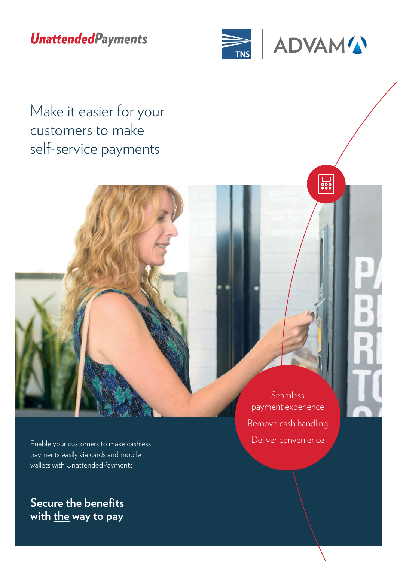## **UnattendedPayments**





 $\frac{1}{200}$ 

Make it easier for your customers to make self-service payments

> payment experience Remove cash handling Deliver convenience

Seamless

Enable your customers to make cashless payments easily via cards and mobile wallets with UnattendedPayments

**Secure the benefits**  with the way to pay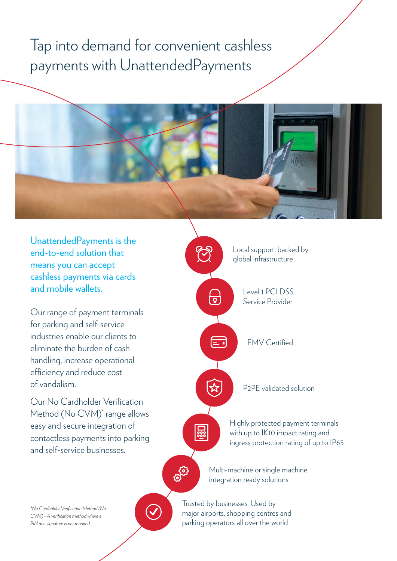## Tap into demand for convenient cashless payments with UnattendedPayments



UnattendedPayments is the end-to-end solution that means you can accept cashless payments via cards and mobile wallets.

Our range of payment terminals for parking and self-service industries enable our clients to eliminate the burden of cash handling, increase operational efficiency and reduce cost of vandalism.

Our No Cardholder Verification Method (No CVM)\* range allows easy and secure integration of contactless payments into parking and self-service businesses.



*\*No Cardholder Verification Method (No CVM) - A verification method where a PIN or a signature is not required*



Trusted by businesses. Used by major airports, shopping centres and parking operators all over the world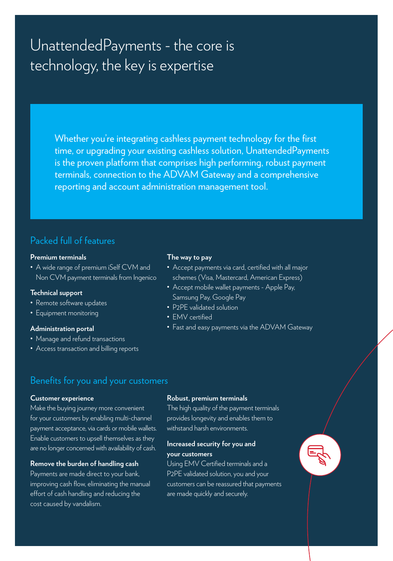## UnattendedPayments - the core is technology, the key is expertise

Whether you're integrating cashless payment technology for the first time, or upgrading your existing cashless solution, UnattendedPayments is the proven platform that comprises high performing, robust payment terminals, connection to the ADVAM Gateway and a comprehensive reporting and account administration management tool.

## Packed full of features

#### **Premium terminals**

• A wide range of premium iSelf CVM and Non CVM payment terminals from Ingenico

## **Technical support**

- Remote software updates
- Equipment monitoring

### **Administration portal**

- Manage and refund transactions
- Access transaction and billing reports

#### **The way to pay**

- Accept payments via card, certified with all major schemes (Visa, Mastercard, American Express)
- Accept mobile wallet payments Apple Pay, Samsung Pay, Google Pay
- P2PE validated solution
- EMV certified
- Fast and easy payments via the ADVAM Gateway

## Benefits for you and your customers

### **Customer experience**

Make the buying journey more convenient for your customers by enabling multi-channel payment acceptance, via cards or mobile wallets. Enable customers to upsell themselves as they are no longer concerned with availability of cash.

### **Remove the burden of handling cash**

Payments are made direct to your bank, improving cash flow, eliminating the manual effort of cash handling and reducing the cost caused by vandalism.

#### **Robust, premium terminals**

The high quality of the payment terminals provides longevity and enables them to withstand harsh environments.

## **Increased security for you and your customers**

Using EMV Certified terminals and a P2PE validated solution, you and your customers can be reassured that payments are made quickly and securely.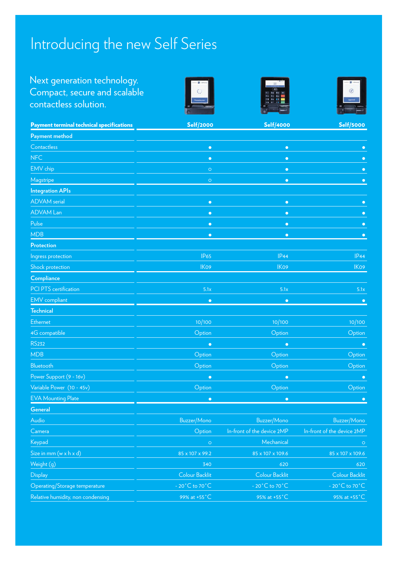# Introducing the new Self Series

## Next generation technology. Compact, secure and scalable contactless solution.







| <b>Payment terminal technical specifications</b> | <b>Self/2000</b>                     | <b>Self/4000</b>                     | <b>Self/5000</b>                   |
|--------------------------------------------------|--------------------------------------|--------------------------------------|------------------------------------|
| Payment method                                   |                                      |                                      |                                    |
| Contactless                                      | $\bullet$                            | $\bullet$                            | $\bullet$                          |
| <b>NFC</b>                                       | $\bullet$                            | $\bullet$                            |                                    |
| EMV chip                                         | $\circ$                              | $\bullet$                            | $\bullet$                          |
| Magstripe                                        | $\circ$                              | $\bullet$                            | $\bullet$                          |
| <b>Integration APIs</b>                          |                                      |                                      |                                    |
| <b>ADVAM</b> serial                              | $\bullet$                            | $\bullet$                            | г                                  |
| <b>ADVAM Lan</b>                                 | $\bullet$                            | $\bullet$                            | $\bigcap$                          |
| Pulse                                            | $\bullet$                            | $\bullet$                            |                                    |
| <b>MDB</b>                                       | $\bullet$                            | $\bullet$                            | $\bullet$                          |
| <b>Protection</b>                                |                                      |                                      |                                    |
| Ingress protection                               | <b>IP65</b>                          | IP44                                 | IP44                               |
| Shock protection                                 | IK09                                 | IK09                                 | IK09                               |
| Compliance                                       |                                      |                                      |                                    |
| <b>PCI PTS</b> certification                     | 5.1x                                 | 5.1x                                 | 5.1x                               |
| <b>EMV</b> compliant                             | $\bullet$                            | $\bullet$                            | $\bullet$                          |
| <b>Technical</b>                                 |                                      |                                      |                                    |
| Ethernet                                         | 10/100                               | 10/100                               | 10/100                             |
| 4G compatible                                    | Option                               | Option                               | Option                             |
| <b>RS232</b>                                     | $\bullet$                            | $\bullet$                            | $\bullet$                          |
| <b>MDB</b>                                       | Option                               | Option                               | Option                             |
| Bluetooth                                        | Option                               | Option                               | Option                             |
| Power Support (9 - 16v)                          | $\bullet$                            | $\bullet$                            | $\bullet$                          |
| Variable Power (10 - 45v)                        | Option                               | Option                               | Option                             |
| <b>EVA Mounting Plate</b>                        | $\bullet$                            | $\bullet$                            | $\bullet$                          |
| <b>General</b>                                   |                                      |                                      |                                    |
| Audio                                            | Buzzer/Mono                          | Buzzer/Mono                          | Buzzer/Mono                        |
| Camera                                           | Option                               | In-front of the device 2MP           | In-front of the device 2MP         |
| Keypad                                           | $\circ$                              | Mechanical                           | $\bigcirc$                         |
| Size in mm (w x h x d)                           | 85 x 107 x 99.2                      | 85 x 107 x 109.6                     | 85 x 107 x 109.6                   |
| Weight (g)                                       | 340                                  | 620                                  | 620                                |
| <b>Display</b>                                   | Colour Backlit                       | Colour Backlit                       | Colour Backlit                     |
| Operating/Storage temperature                    | - 20 $^{\circ}$ C to 70 $^{\circ}$ C | - 20 $^{\circ}$ C to 70 $^{\circ}$ C | $-20^{\circ}$ C to 70 $^{\circ}$ C |
| Relative humidity, non condensing                | 99% at +55°C                         | 95% at +55°C                         | 95% at +55°C                       |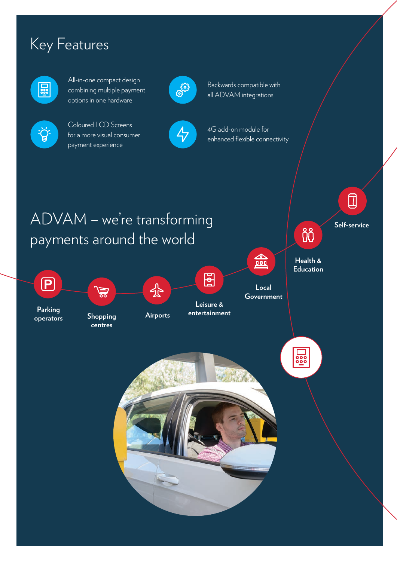# Key Features



 $\frac{1}{\sqrt{2}}$ 

All-in-one compact design combining multiple payment options in one hardware

Coloured LCD Screens for a more visual consumer

payment experience



Backwards compatible with all ADVAM integrations

 $\overline{\mathcal{L}}$ 



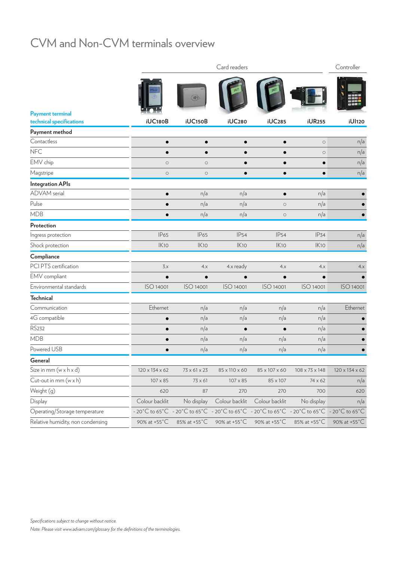## CVM and Non-CVM terminals overview

|                                   | Card readers   |                                                                                           |                |                     |                          |                |
|-----------------------------------|----------------|-------------------------------------------------------------------------------------------|----------------|---------------------|--------------------------|----------------|
| <b>Payment terminal</b>           |                | (川)                                                                                       |                |                     |                          |                |
| technical specifications          | <b>iUC180B</b> | <b>iUC150B</b>                                                                            | <b>iUC280</b>  | <b>iUC285</b>       | <b>iUR255</b>            | iUI120         |
| Payment method<br>Contactless     |                |                                                                                           |                |                     |                          |                |
| <b>NFC</b>                        |                | $\bullet$                                                                                 |                |                     | $\bigcirc$<br>$\bigcirc$ | n/a<br>n/a     |
| EMV chip                          | $\circ$        | $\bigcirc$                                                                                |                |                     |                          | n/a            |
| Magstripe                         | $\bigcirc$     | $\circ$                                                                                   |                |                     | $\bullet$                | n/a            |
| <b>Integration APIs</b>           |                |                                                                                           |                |                     |                          |                |
| <b>ADVAM</b> serial               |                | n/a                                                                                       | n/a            |                     | n/a                      |                |
| Pulse                             |                | n/a                                                                                       | n/a            | $\circlearrowright$ | n/a                      |                |
| <b>MDB</b>                        |                | n/a                                                                                       | n/a            | $\bigcirc$          | n/a                      |                |
| Protection                        |                |                                                                                           |                |                     |                          |                |
| Ingress protection                | <b>IP65</b>    | <b>IP65</b>                                                                               | <b>IP54</b>    | <b>IP54</b>         | <b>IP34</b>              | n/a            |
| Shock protection                  | IK10           | IK10                                                                                      | IK10           | IK10                | IK10                     | n/a            |
| Compliance                        |                |                                                                                           |                |                     |                          |                |
| PCI PTS certification             | 3.x            | 4.x                                                                                       | 4.x ready      | 4.x                 | 4.x                      | 4.x            |
| EMV compliant                     |                | $\bullet$                                                                                 |                | $\bullet$           |                          |                |
| Environmental standards           | ISO 14001      | ISO 14001                                                                                 | ISO 14001      | ISO 14001           | ISO 14001                | ISO 14001      |
| <b>Technical</b>                  |                |                                                                                           |                |                     |                          |                |
| Communication                     | Ethernet       | n/a                                                                                       | n/a            | n/a                 | n/a                      | Ethernet       |
| 4G compatible                     |                | n/a                                                                                       | n/a            | n/a                 | n/a                      |                |
| <b>RS232</b>                      |                | n/a                                                                                       |                |                     | n/a                      |                |
| <b>MDB</b>                        |                | n/a                                                                                       | n/a            | n/a                 | n/a                      |                |
| Powered USB                       |                | n/a                                                                                       | n/a            | n/a                 | n/a                      |                |
| General                           |                |                                                                                           |                |                     |                          |                |
| Size in mm (w x h x d)            | 120 x 134 x 62 | $73 \times 61 \times 23$                                                                  | 85 x 110 x 60  | 85 x 107 x 60       | 108 x 73 x 148           | 120 x 134 x 62 |
| Cut-out in mm (w x h)             | 107 x 85       | 73 x 61                                                                                   | 107 x 85       | 85 x 107            | 74 x 62                  | n/a            |
| Weight (g)                        | 620            | 87                                                                                        | 270            | 270                 | 700                      | 620            |
| Display                           | Colour backlit | No display                                                                                | Colour backlit | Colour backlit      | No display               | n/a            |
| Operating/Storage temperature     |                | - 20°C to 65°C - 20°C to 65°C - 20°C to 65°C - 20°C to 65°C - 20°C to 65°C - 20°C to 65°C |                |                     |                          |                |
| Relative humidity, non condensing | 90% at +55°C   | 85% at +55°C                                                                              | 90% at +55°C   | 90% at +55°C        | 85% at +55°C             | 90% at +55°C   |

*Specifications subject to change without notice.*

*Note: Please visit www.advam.com/glossary for the definitions of the terminologies.*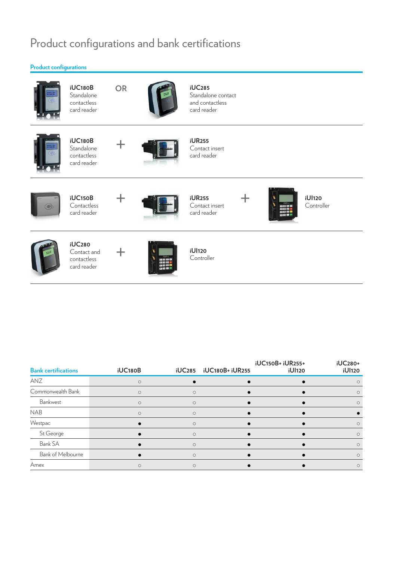## Product configurations and bank certifications



| <b>Bank certifications</b> | iUC180B    | <b>iUC285</b> | iUC180B+ iUR255 | iUC150B+ iUR255+<br><b>iUl120</b> | <b>iUC280+</b><br><b>iUI120</b> |
|----------------------------|------------|---------------|-----------------|-----------------------------------|---------------------------------|
| ANZ                        | $\bigcirc$ |               |                 |                                   |                                 |
| Commonwealth Bank          | $\circ$    | $\circ$       |                 |                                   | $\circ$                         |
| Bankwest                   | $\circ$    | $\circ$       |                 |                                   | $\circ$                         |
| <b>NAB</b>                 | $\circ$    | $\circ$       |                 |                                   |                                 |
| Westpac                    |            | $\bigcirc$    |                 |                                   | $\circ$                         |
| St George                  |            | $\circ$       |                 |                                   | $\circ$                         |
| Bank SA                    |            | $\circ$       |                 |                                   | $\circ$                         |
| Bank of Melbourne          |            | Ο             |                 |                                   | $\circ$                         |
| Amex                       | $\circ$    | $\circ$       |                 |                                   | $\circ$                         |